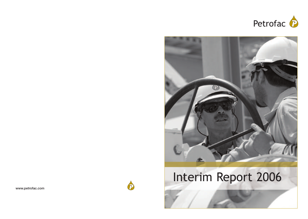



# Interim Report 2006

 $\bigoplus$ 

**www.petrofac.com**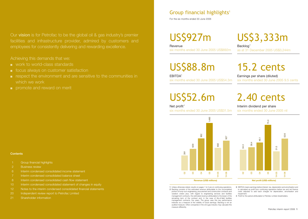Our **vision** is for Petrofac to be the global oil & gas industry's premier facilities and infrastructure provider, admired by customers and employees for consistently delivering and rewarding excellence.

Achieving this demands that we:

- work to world-class standards
- focus always on customer satisfaction
- respect the environment and are sensitive to the communities in which we work
- promote and reward on merit

#### **Contents**

- 1 Group financial highlights
- 2 Business review
- 6 Interim condensed consolidated income statement
- 7 Interim condensed consolidated balance sheet
- 8 Interim condensed consolidated cash flow statement
- 10 Interim condensed consolidated statement of changes in equity
- 12 Notes to the interim condensed consolidated financial statements
- 20 Independent review report to Petrofac Limited
- 21 Shareholder information

## Group financial highlights<sup>1</sup>

For the six months ended 30 June 2006

## US\$927m

**Revenue** six months ended 30 June 2005 US\$692m

## US\$88.8m

EBITDA3 six months ended 30 June 2005 US\$54.3m

US\$3,333m Backlog<sup>2</sup>

as at 31 December 2005 US\$3,244m

# 15.2 cents

Earnings per share (diluted) six months ended 30 June 2005 9.5 cents

## US\$52.6m

#### Net profit<sup>4</sup>

six months ended 30 June 2005 US\$31.5m





Interim dividend per share six months ended 30 June 2005 nil



**1** Unless otherwise stated, results on pages 1 to 5 are on continuing operations. **2** Backlog consists of the estimated revenue attributable to the uncompleted portion of lump-sum engineering, procurement and construction contracts and variation orders plus, with regard to engineering services and facilities management contracts, the estimated revenue attributable to the lesser of the remaining term of the contract and, in the case of life-of-field facilities management contracts, five years. The group uses this key performance indicator as a measure of the visibility of future earnings. Backlog is not an audited measure. Other companies in the oil & gas industry may calculate this measure differently.

**3** EBITDA means earnings before interest, tax, depreciation and amortisation and is calculated as profit from continuing operations before tax and net finance costs adjusted to add back charges for depreciation, amortisation and impairment.

**4** Profit for the period attributable to Petrofac Limited shareholders.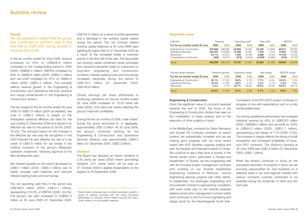#### **Results**

We are pleased to report that the group has continued to perform well in the first half of 2006 with strong growth in revenue and profit.

In the six months ended 30 June 2006, revenue increased by 34% to US\$926.9 million compared to the corresponding period in 2005 (2005: US\$692.4 million). EBITDA increased by 63% to US\$88.8 million (2005: US\$54.3 million) and net profit increased by 67% to US\$52.6 million (2005: US\$31.5 million). This primarily reflects revenue growth in the Engineering & Construction and Operations Services divisions and margin enhancement in the Engineering & Construction division.

The tax charge for the six months ended 30 June 2006 of US\$21.9 million (2005 as restated, see note 5: US\$6.2 million) is based on the anticipated divisional effective tax rates for the year ending 31 December 2006 and results in an effective tax rate for the period of 29.4% (2005: 16.5%). The principal reason for the increase in the effective tax rate was the recognition in the 2005 forecast full year effective tax rate of a tax credit of US\$7.6 million for tax losses in the holding company of the group's Malaysian upstream investment, following approval of the field development plan.

Net interest payable for the period decreased to US\$0.7 million (2005: US\$3.4 million) due to higher average cash balances and reduced interest-bearing loans and borrowings.

The net operating cash flow in the period was US\$186.6 million (2005: US\$12.1 million), representing 210.0% of EBITDA (2005: 22.4%). The group's net cash increased to US\$261.4 million at 30 June 2006 (31 December 2005:

US\$102.0 million) as a result of profits generated and a decrease in net working capital utilised during the period. The net contract related working capital balances at 30 June 2006 were significantly higher than at 31 December 2005 as a result of the increased levels of business activity in the first half of the year. The favourable net working capital movement arose principally from advance payments made by customers on long-term engineering and construction contracts. Interest-bearing loans and borrowings increased marginally during the period to US\$118.0 million (31 December 2005: US\$106.9 million).

Diluted earnings per share attributable to continuing operations for the six months ended 30 June 2006 increased to 15.23 cents per share (2005: 9.50 cents per share) reflecting the group's improved profitability.

During the first six months of 2006, order intake<sup>1</sup> across the group amounted to, in aggregate, approximately US\$1.0 billion. At 30 June 2006, the group's combined backlog for the Engineering & Construction and Operations Services divisions was approximately US\$3.3 billion (31 December 2005: US\$3.2 billion).

#### **Dividend**

The Board has declared an interim dividend of 2.40 cents per share (2005 interim [pre-listing] dividend: 3.01 cents) which will be paid on 27 October 2006 to eligible shareholders on the register at 29 September 2006.

1 Order intake comprises new contracts awarded, growth in scope of existing contracts and the rolling increment attributable to contracts which extend beyond five years. Order intake is not an audited measure.

#### **Segmental review**

| US\$'000                                                                                             |                                       | Revenue                                  | Operating profit                   |                                      | Net profit                          |                                     | <b>EBITDA</b>                       |                                       |
|------------------------------------------------------------------------------------------------------|---------------------------------------|------------------------------------------|------------------------------------|--------------------------------------|-------------------------------------|-------------------------------------|-------------------------------------|---------------------------------------|
| For the six months ended 30 June                                                                     | 2006                                  | 2005                                     | 2006                               | 2005                                 | 2006                                | 2005                                | 2006                                | 2005                                  |
| Engineering & Construction<br><b>Operations Services</b><br>Resources<br>Consolidation & elimination | 578.958<br>325,337<br>23.113<br>(469) | 398.987<br>279.668<br>22,572<br>(8, 817) | 55.694<br>12,296<br>7.550<br>(373) | 22,867<br>12.391<br>8.769<br>(2,946) | 44,320<br>7,203<br>3,898<br>(2,859) | 21.669<br>7.544<br>8.109<br>(5,866) | 60.671<br>14,007<br>14.745<br>(579) | 28,055<br>13,296<br>15,730<br>(2,735) |
| Group                                                                                                | 926.939                               | 692,410                                  | 75,167                             | 41.081                               | 52,562                              | 31.456                              | 88.844                              | 54,346                                |
| Growth/margin analysis                                                                               |                                       | Revenue growth                           |                                    | Operating margin                     |                                     | Net margin                          | <b>EBITDA</b> margin                |                                       |
| For the six months ended 30 June                                                                     | 2006                                  | 2005                                     | 2006                               | 2005                                 | 2006                                | 2005                                | 2006                                | 2005                                  |
| Engineering & Construction<br><b>Operations Services</b><br>Resources                                | 45.1%<br>16.3%<br>2.4%                | 111.9%<br>41.8%<br>4.7%                  | $9.6\%$<br>$3.8\%$<br>32.7%        | 5.7%<br>4.4%<br>38.8%                | 7.7%<br>2.2%<br>16.9%               | 5.4%<br>2.7%<br>35.9%               | 10.5%<br>4.3%<br>63.8%              | 7.0%<br>4.8%<br>69.7%                 |
| Group                                                                                                | 33.9%                                 | 71.8%                                    | 8.1%                               | 5.9%                                 | 5.7%                                | 4.5%                                | 9.6%                                | 7.8%                                  |

#### **Engineering & Construction**

Given the significant value of contracts awarded towards the end of 2005, the focus of the Engineering & Construction division has been on the mobilisation of these projects and on the execution of other projects in hand.

In the Middle East, contracts for Qatar Petroleum and Kuwait Oil Company (northern oil export system) are substantially complete and we are making good progress with our more recent award with KOC (facilities upgrade project) and with the Kauther and Harweel projects in Oman. We continue to see a high level of activity in the former Soviet Union, particularly in Russia and Kazakhstan. In Russia, we are progressing well with the Kovykta project management contracts and, building on our recently established engineering presence in Moscow, various engineering services projects with other clients. In Kazakhstan, the Kashagan engineering and procurement contract is approaching completion with work under way on the recently awarded related construction management contract whilst work continues on the front-end engineering and design study for the Karachaganak fourth train.

Completion of the BTC/SCP project continues to progress in line with expectations and on a fully reimbursable basis.

Our strong operational performance has increased divisional revenue by 45% to US\$579.0 million (2005: US\$399.0 million) and net profit by 104% to US\$44.3 million (2005: US\$21.7 million), representing a net margin of 7.7% (2005: 5.4%). The increase in margin reflects the timing of profit recognition and increased profitability of lumpsum EPC contracts. The division's backlog at 30 June 2006 was US\$1.6 billion (31 December 2005: US\$2.1 billion).

While the division continues to focus on the successful execution of projects in hand, we are pursuing opportunities for new business on a selective basis in our core regional markets with various contracts currently scheduled to be awarded during the remainder of 2006 and into next year.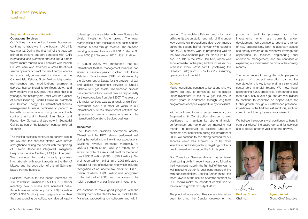### Business review (continued)

#### **Segmental review (continued) Operations Services**

Our facilities management and training businesses continue to trade well in the buoyant UK oil & gas market. During the first half of the year, we signed operations support contracts with CNR International and Marathon and secured a further twelve-month renewal of our contract with Maersk Oil. We were also awarded a small life-of-field service operator contract by Helix Energy Services for a normally unmanned installation in the Camelot field. Petrofac Brownfield, which provides maintenance and modifications engineering services, has continued its significant growth and now employs over 500 staff, three times that of a year ago, and has projects under way for a variety of clients including Lundin Petroleum, Marathon and Talisman Energy. Our international facilities management business continued to perform in line with our expectations during the period with contracts in hand in Kuwait, Iran, Sudan and Papua New Guinea and also now in Equatorial Guinea as part of the Marathon contract referred to earlier.

The training business continues to perform well in the UK and the services offered were further strengthened during the period with the opening of Rubicon Response's integrated Emergency Response Service Centre (ERSC) in Aberdeen. We continue to make steady progress internationally with recent awards in the Gulf of Mexico and the acquisition of a small Sakhalinbased training business.

Divisional revenue for the period increased by 16% to US\$325.3 million (2005: US\$279.7 million) reflecting new business and increased passthrough revenue, while net profit, at US\$7.2 million (2005: US\$7.5 million), was marginally lower than the corresponding period last year, due principally

to leasing costs associated with new offices as the division invests for further growth. The lower margin reflects both these additional costs and the increase in pass-through revenue. The division's backlog increased to a record US\$1.7 billion at 30 June 2006 (31 December 2005: US\$1.1 billion).

In August 2006, we announced that our international facilities management business had signed a service operator contract with Dubai Petroleum Establishment (DPE), wholly owned by the Government of Dubai, for the provision of well and facilities management services to Dubai's offshore oil & gas assets. The transition process has commenced and we will take full responsibility for these operations from April 2007. The award of this major contract was as a result of significant investment over a number of years in our international business development activities and represents a material increase in scale for the international Operations Services business.

#### **Resources**

The Resources division's operational assets, Ohanet and the KPC refinery, performed well during the period and in line with our expectations. Divisional revenue increased marginally to US\$23.1 million (2005: US\$22.6 million) on a similar portfolio of assets. Net profit for the period was US\$3.9 million (2005: US\$8.1 million). Net profit reported for the first half of 2005 reflected a forecast full year effective tax rate which included recognition of an income tax credit of US\$7.6 million, of which US\$3.5 million was recognised in the first half of 2005, from tax losses in the holding company of our Malaysian investment.

We continue to make good progress with the development of the Cendor field in Block PM304, Malaysia, proceeding on schedule and within budget. The mobile offshore production and drilling units are on station and, with drilling under way, commercial production is due to commence during the second half of the year. With regard to our UKCS interests, work is progressing well on the field development plan for blocks 211/18a and 211/18c in the West Don field, which was acquired earlier in the year, and we increased our interest in Block 9/28a part B (containing the Crawford Field) from 5.58% to 29%, assuming operatorship of the field.

#### **Outlook**

Market conditions continue to be strong and we believe are likely to remain so as the relative under-investment in the oil & gas industry in recent years is addressed through long-term programmes of capital expenditure by our clients.

With a continuing focus on project execution, our Engineering & Construction division is well positioned to maintain its strong financial performance and generate an improving net margin, in particular as existing lump-sum contracts near completion during the remainder of 2006. We continue to see strong demand for our services which has allowed us to be more selective in our bidding activity, targeting contracts due for award in the second half of this year.

Our Operations Services division has achieved significant growth in recent years and, following the investment made in the first half of this year, is well placed to deliver full year performance in line with our expectations. Looking further ahead, the recent award of the service operator contract by DPE should make an important contribution to the division's growth from April 2007.

The principal focus of our Resources division has been to bring the Cendor development to **Rodney Chase** Chairman

production and to progress our other investments which are currently under development. We continue to appraise a range of new opportunities, both in upstream assets and energy infrastructure, which will leverage our capabilities in facilities engineering and operational management, and are confident of expanding our investment portfolio in the coming months.

The importance of having the right people in support of contract execution cannot be overstated and is key to generating a strong and sustainable financial return. We now have approaching 8,000 employees, compared to less than 5,000 only a year ago, and are well placed to continue to capitalise on opportunities for further growth through our established presence, in particular in the Middle East and India, and our commitment to employee share ownership.

We believe the group is well positioned to benefit from our clients' increased demand for services and to deliver another year of strong growth.



Place



rosilh

**Ayman Asfari** Group Chief Executive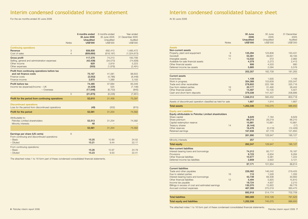## Interim condensed consolidated income statement

For the six months ended 30 June 2006

|                                                                                                          | <b>Notes</b> | 6 months ended<br>30 June 2006<br><b>Unaudited</b><br><b>US\$'000</b> | 6 months ended<br>30 June 2005<br>Unaudited<br>US\$'000 | Year ended<br>31 December 2005<br>Audited<br>US\$'000 |
|----------------------------------------------------------------------------------------------------------|--------------|-----------------------------------------------------------------------|---------------------------------------------------------|-------------------------------------------------------|
| <b>Continuing operations</b><br>Revenue<br>Cost of sales                                                 | 3<br>4       | 926.939<br>(809, 660)                                                 | 692,410<br>(618, 197)                                   | 1,485,472<br>(1,324,673)                              |
| <b>Gross profit</b><br>Selling, general and administration expenses<br>Other income<br>Other expenses    |              | 117,279<br>(42, 438)<br>829<br>(503)                                  | 74,213<br>(34,073)<br>2,819<br>(1,878)                  | 160,799<br>(74, 928)<br>5,223<br>(2,491)              |
| Profit from continuing operations before tax<br>and net finance costs<br>Finance costs<br>Finance income |              | 75,167<br>(3, 552)<br>2,870                                           | 41,081<br>(4, 786)<br>1,389                             | 88,603<br>(8, 448)<br>3,193                           |
| Profit before tax<br>Income tax (expense)/income - UK<br>- Overseas                                      |              | 74,485<br>(4, 329)<br>(17, 546)                                       | 37,684<br>525<br>(6, 753)                               | 83,348<br>(7, 106)<br>(845)                           |
|                                                                                                          | 5            | (21, 875)                                                             | (6, 228)                                                | (7,951)                                               |
| Profit for the period from continuing operations                                                         |              | 52,610                                                                | 31,456                                                  | 75,397                                                |
| <b>Discontinued operations</b><br>Loss for the period from discontinued operations                       |              | (49)                                                                  | (202)                                                   | (815)                                                 |
| Profit for the period                                                                                    |              | 52,561                                                                | 31,254                                                  | 74,582                                                |
| Attributable to:<br>Petrofac Limited shareholders<br>Minority interests                                  |              | 52,513<br>48                                                          | 31,254                                                  | 74,582                                                |
|                                                                                                          |              | 52,561                                                                | 31,254                                                  | 74,582                                                |
| Earnings per share (US cents)<br>From continuing and discontinued operations:                            | 6            |                                                                       |                                                         |                                                       |
| - Basic<br>- Diluted                                                                                     |              | 15.25<br>15.21                                                        | 10.90<br>9.44                                           | 24.52<br>22.17                                        |
| From continuing operations:<br>- Basic<br>- Diluted                                                      |              | 15.26<br>15.23                                                        | 10.97<br>9.50                                           | 24.79<br>22.41                                        |

The attached notes 1 to 16 form part of these condensed consolidated financial statements.

## Interim condensed consolidated balance sheet

At 30 June 2006

|                                                                                                                                                                          | <b>Notes</b> | 30 June<br>2006<br><b>Unaudited</b><br><b>US\$'000</b> | 30 June<br>2005<br>Unaudited<br>US\$'000 | 31 December<br>2005<br>Audited<br><b>US\$'000</b> |
|--------------------------------------------------------------------------------------------------------------------------------------------------------------------------|--------------|--------------------------------------------------------|------------------------------------------|---------------------------------------------------|
| <b>Assets</b>                                                                                                                                                            |              |                                                        |                                          |                                                   |
| Non-current assets                                                                                                                                                       |              |                                                        |                                          |                                                   |
| Property, plant and equipment                                                                                                                                            | 9            | 125,294                                                | 123,806                                  | 120,431                                           |
| Goodwill                                                                                                                                                                 | 10           | 53,361                                                 | 49,631                                   | 49,183                                            |
| Intangible assets                                                                                                                                                        | 11           | 12,532                                                 | 372                                      | 2,982                                             |
| Available-for-sale financial assets                                                                                                                                      |              | 4,379                                                  | 2,273                                    | 2,413                                             |
| Other financial assets                                                                                                                                                   |              | 906                                                    | 4,533                                    | 680                                               |
| Deferred income tax assets                                                                                                                                               |              | 5,885                                                  | 2,094                                    | 5,576                                             |
|                                                                                                                                                                          |              | 202,357                                                | 182,709                                  | 181.265                                           |
| <b>Current assets</b>                                                                                                                                                    |              |                                                        |                                          |                                                   |
| Inventories                                                                                                                                                              |              | 1,109                                                  | 1,635                                    | 1,156                                             |
| Work in progress                                                                                                                                                         |              | 354,389                                                | 153,609                                  | 235,047                                           |
| Trade and other receivables                                                                                                                                              |              | 278,802                                                | 222,186                                  | 325,716                                           |
| Due from related parties                                                                                                                                                 | 16           | 20,177                                                 | 31,490                                   | 28,402                                            |
| Other financial assets                                                                                                                                                   | 12           | 14,497                                                 | 10,105                                   | 4,501                                             |
| Cash and short-term deposits                                                                                                                                             |              | 379,338                                                | 141,427                                  | 208,896                                           |
|                                                                                                                                                                          |              | 1,048,312                                              | 560,452                                  | 803,718                                           |
| Assets of discontinued operation classified as held for sale                                                                                                             | 1,667        | 1,914                                                  | 1,667                                    |                                                   |
| <b>Total assets</b>                                                                                                                                                      |              | 1,252,336                                              | 745,075                                  | 986,650                                           |
| <b>Equity and Liabilities</b><br>Equity attributable to Petrofac Limited shareholders<br>Share capital<br>Share premium<br>Capital redemption reserve<br>Treasury shares | 14           | 8,629<br>66,210<br>10,881<br>(8, 144)                  | 7,184<br>29,219<br>10,881                | 8,629<br>66,210<br>10,881<br>(17)                 |
| Other reserves                                                                                                                                                           |              | 16,476                                                 | (5,516)                                  | (12, 426)                                         |
| Retained earnings                                                                                                                                                        |              | 167,938                                                | 87,179                                   | 121,850                                           |
|                                                                                                                                                                          |              | 261,990                                                | 128,947                                  | 195,127                                           |
| Minority interests                                                                                                                                                       |              | 257                                                    |                                          |                                                   |
| <b>Total equity</b>                                                                                                                                                      |              | 262,247                                                | 128.947                                  | 195,127                                           |
| <b>Non-current liabilities</b>                                                                                                                                           |              |                                                        |                                          |                                                   |
| Interest-bearing loans and borrowings                                                                                                                                    |              | 74,212                                                 | 85,717                                   | 76,187                                            |
| Provisions                                                                                                                                                               |              | 9,723                                                  | 6,934                                    | 8,284                                             |
| Other financial liabilities                                                                                                                                              |              | 10,577                                                 | 6,381                                    | 1,222                                             |
| Deferred income tax liabilities                                                                                                                                          |              | 2,659                                                  | 2,922                                    | 3,121                                             |
|                                                                                                                                                                          |              | 97,171                                                 | 101,954                                  | 88.814                                            |
| <b>Current liabilities</b>                                                                                                                                               |              |                                                        |                                          |                                                   |
| Trade and other payables                                                                                                                                                 |              | 226,082                                                | 146,242                                  | 219,425                                           |
| Due to related parties                                                                                                                                                   | 16           | 110                                                    | 1,526                                    | 1,335                                             |
| Interest-bearing loans and borrowings                                                                                                                                    | 12           | 43.739                                                 | 69,308                                   | 30,683                                            |
| Other financial liabilities                                                                                                                                              |              | 5,494<br>19,724                                        | 5,920<br>4,937                           | 15,810<br>2,210                                   |
| Income tax payable<br>Billings in excess of cost and estimated earnings                                                                                                  |              | 130,370                                                | 15,922                                   | 69,776                                            |
| Accrued contract expenses                                                                                                                                                |              | 467,399                                                | 270,319                                  | 363,470                                           |
|                                                                                                                                                                          |              | 892,918                                                | 514,174                                  | 702,709                                           |
| <b>Total liabilities</b>                                                                                                                                                 |              | 990,089                                                | 616,128                                  | 791,523                                           |
| <b>Total equity and liabilities</b>                                                                                                                                      |              | 1,252,336                                              | 745,075                                  | 986,650                                           |

The attached notes 1 to 16 form part of these condensed consolidated financial statements.

Petrofac interim report 2006 **7**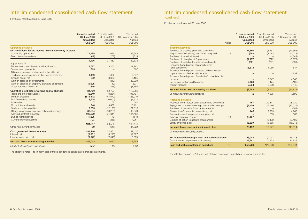## Interim condensed consolidated cash flow statement

For the six months ended 30 June 2006

|                                                              | 6 months ended<br>30 June 2006<br><b>Unaudited</b><br><b>US\$'000</b> | 6 months ended<br>30 June 2005<br>Unaudited<br>US\$'000 | Year ended<br>31 December 2005<br>Audited<br>US\$'000 |
|--------------------------------------------------------------|-----------------------------------------------------------------------|---------------------------------------------------------|-------------------------------------------------------|
| <b>Operating activities</b>                                  |                                                                       |                                                         |                                                       |
| Net profit/(loss) before income taxes and minority interests |                                                                       |                                                         |                                                       |
| Continuing operations<br><b>Discontinued operations</b>      | 74,485                                                                | 37,684<br>(202)                                         | 83,348                                                |
|                                                              | (49)                                                                  |                                                         | (815)                                                 |
|                                                              | 74,436                                                                | 37,482                                                  | 82,533                                                |
| Adjustments for:                                             |                                                                       |                                                         |                                                       |
| Depreciation, amortisation and impairment                    | 13,677                                                                | 13,265                                                  | 27,281                                                |
| Share-based payments                                         | 315                                                                   |                                                         | 897                                                   |
| Difference between end-of-service benefits paid              |                                                                       |                                                         |                                                       |
| and amounts recognised in the income statement               | 1,439                                                                 | 1,022                                                   | 2,372                                                 |
| Finance costs, net                                           | 682                                                                   | 3,350                                                   | 5,195                                                 |
| Gain on disposal of investments                              |                                                                       | (1, 819)                                                | (2,390)                                               |
| Gain on disposal of property, plant and equipment            | (6,605)                                                               | (119)                                                   | (271)                                                 |
| Other non-cash items, net                                    | 816                                                                   | (454)                                                   | (1,755)                                               |
| Operating profit before working capital changes              | 84,760                                                                | 52,727                                                  | 113,862                                               |
| Trade and other receivables                                  | 48,349                                                                | (3, 264)                                                | (106, 794)                                            |
| Work in progress                                             | (119, 342)                                                            | (44, 572)                                               | (126,010)                                             |
| Due from related parties                                     | 8,225                                                                 | (10,601)                                                | (7, 513)                                              |
| Inventories                                                  | 47                                                                    | 67                                                      | 546                                                   |
| Current financial assets                                     | 348                                                                   | 9.457                                                   | 15,121                                                |
| Trade and other payables                                     | 9,355                                                                 | (12, 173)                                               | 61,010                                                |
| Billings in excess of cost and estimated earnings            | 60,594                                                                | (56, 233)                                               | (2, 379)                                              |
| Accrued contract expenses                                    | 103,929                                                               | 91,311                                                  | 184,462                                               |
| Due to related parties                                       | (1, 225)                                                              | 73                                                      | (118)                                                 |
| Current financial liabilities                                | (193)                                                                 | (266)                                                   | 4,261                                                 |
|                                                              | 194,847                                                               | 26,526                                                  | 136,448                                               |
| Other non-current items, net                                 | 69                                                                    | (1,645)                                                 | (4,022)                                               |
| Cash generated from operations                               | 194,916                                                               | 24,881                                                  | 132,426                                               |
| Interest paid                                                | (3, 331)                                                              | (5, 296)                                                | (9,097)                                               |
| Income taxes paid, net                                       | (5, 542)                                                              | (7, 548)                                                | (15,085)                                              |
| Net cash flows from operating activities                     | 186,043                                                               | 12,037                                                  | 108,244                                               |
| Of which discontinued operations                             | (537)                                                                 | (112)                                                   | (619)                                                 |

The attached notes 1 to 16 form part of these condensed consolidated financial statements.

## Interim condensed consolidated cash flow statement

(continued)

For the six months ended 30 June 2006

|                                                                                                                                         | <b>Notes</b> | 6 months ended<br>30 June 2006<br><b>Unaudited</b><br><b>US\$'000</b> | 6 months ended<br>30 June 2005<br>Unaudited<br>US\$'000 | Year ended<br>31 December 2005<br>Audited<br>US\$'000 |
|-----------------------------------------------------------------------------------------------------------------------------------------|--------------|-----------------------------------------------------------------------|---------------------------------------------------------|-------------------------------------------------------|
| <b>Investing activities</b>                                                                                                             |              |                                                                       |                                                         |                                                       |
| Purchase of property, plant and equipment<br>Acquisition of subsidiary, net of cash acquired<br>Purchase of minority interest           | 8            | (27, 566)<br>(568)                                                    | (6, 257)<br>(4,073)                                     | (17, 556)<br>(4,073)<br>(1,644)                       |
| Purchase of intangible oil & gas assets<br>Purchase of available-for-sale financial assets<br>Proceeds from disposal of property, plant |              | (1, 137)<br>(501)                                                     | (372)<br>(691)                                          | (3,079)<br>(691)                                      |
| and equipment<br>Proceeds from disposal of assets of discontinued                                                                       |              | 16,575                                                                | 1,955                                                   | 647                                                   |
| operation classified as held for sale<br>Proceeds from disposal of available-for-sale financial                                         |              |                                                                       |                                                         | 1,832                                                 |
| assets                                                                                                                                  |              |                                                                       | 3.247                                                   | 4,545                                                 |
| Net foreign exchange differences                                                                                                        |              | 2.480                                                                 | 474                                                     | (135)                                                 |
| Interest received                                                                                                                       |              | 2,054                                                                 | 2,060                                                   | 3,442                                                 |
| Net cash flows used in investing activities                                                                                             |              | (8,663)                                                               | (3,657)                                                 | (16, 712)                                             |
| Of which discontinued operations                                                                                                        |              | $\overline{2}$                                                        | 1,895                                                   | 1,892                                                 |
| <b>Financing activities</b>                                                                                                             |              |                                                                       |                                                         |                                                       |
| Proceeds from interest-bearing loans and borrowings                                                                                     |              | 767                                                                   | 20,347                                                  | 28,339                                                |
| Repayment of interest-bearing loans and borrowings                                                                                      |              | (9,400)                                                               | (31, 176)                                               | (32,026)                                              |
| Purchase of derivative financial instruments                                                                                            |              |                                                                       |                                                         | (689)                                                 |
| Shareholders' loan note transactions, net                                                                                               |              | 148                                                                   | 2,983                                                   | 4,968                                                 |
| Transactions with employee share plan, net                                                                                              |              |                                                                       | 655                                                     | 537                                                   |
| Treasury shares purchased                                                                                                               | 14           | (8, 127)                                                              |                                                         |                                                       |
| Exercise of option to acquire group shares<br>Equity dividends paid                                                                     |              | (6,820)                                                               | (2.400)<br>(6,586)                                      | (2,400)<br>(15, 243)                                  |
|                                                                                                                                         |              |                                                                       |                                                         |                                                       |
| Net cash flows used in financing activities                                                                                             |              | (23, 432)                                                             | (16, 177)                                               | (16, 514)                                             |
| Of which discontinued operations                                                                                                        |              |                                                                       |                                                         |                                                       |
| Net increase/(decrease) in cash and cash equivalents<br>Cash and cash equivalents at 1 January                                          |              | 153,948<br>202,841                                                    | (7, 797)<br>127,823                                     | 75,018<br>127,823                                     |
| Cash and cash equivalents at period end                                                                                                 | 13           | 356,789                                                               | 120,026                                                 | 202,841                                               |

The attached notes 1 to 16 form part of these condensed consolidated financial statements.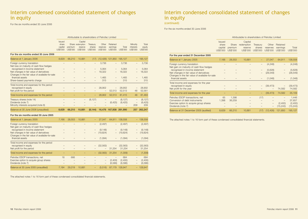## Interim condensed consolidated statement of changes in equity

For the six months ended 30 June 2006

|                 |                  | Attributable to shareholders of Petrofac Limited |          |          |          |                  |          |               |  |  |
|-----------------|------------------|--------------------------------------------------|----------|----------|----------|------------------|----------|---------------|--|--|
|                 |                  |                                                  |          |          |          | Capital          |          | <b>Issued</b> |  |  |
| Total           | Minority         |                                                  | Retained | Other    | Treasurv | Share redemption |          | share         |  |  |
| equity          | <i>interests</i> | Total                                            | earnings | reserves | shares   | reserve          | premium  | capital       |  |  |
| <b>US\$'000</b> | US\$'000         | US\$'000                                         | US\$'000 | US\$'000 | US\$'000 | US\$'000         | US\$'000 | US\$'000      |  |  |
|                 |                  |                                                  |          |          |          |                  |          |               |  |  |

| For the six months ended 30 June 2006                                                       |       |        |                   |          |                          |                          |          |     |             |
|---------------------------------------------------------------------------------------------|-------|--------|-------------------|----------|--------------------------|--------------------------|----------|-----|-------------|
| Balance at 1 January 2006                                                                   | 8,629 | 66,210 | 10,881            | (17)     |                          | $(12, 426)$ 121,850      | 195,127  |     | $-195,127$  |
| Foreign currency translation<br>Net loss on maturity of cash flow hedges                    |       |        |                   |          | 3,736                    | $\qquad \qquad -$        | 3,736    | —   | 3,736       |
| recognised in income statement                                                              |       |        |                   |          | 5,064                    | $\qquad \qquad -$        | 5.064    |     | 5,064       |
| Net changes in fair value of derivatives<br>Changes in the fair value of available-for-sale |       |        |                   |          | 18,322                   | $\qquad \qquad -$        | 18,322   | -   | 18,322      |
| financial assets                                                                            |       |        |                   |          | 1.465                    | $\overline{\phantom{0}}$ | 1.465    |     | 1.465       |
| Share-based payments charge                                                                 |       |        |                   |          | 315                      | $\qquad \qquad$          | 315      | —   | 315         |
| Total income and expenses for the period                                                    |       |        |                   |          |                          |                          |          |     |             |
| recognised in equity                                                                        |       |        |                   |          | 28,902                   | $\qquad \qquad -$        | 28,902   |     | 28,902      |
| Net profit for the period                                                                   |       |        |                   |          | $\overline{\phantom{0}}$ | 52,513                   | 52,513   | 48  | 52,561      |
| Total income and expenses for the period                                                    |       |        |                   |          | 28,902                   | 52,513                   | 81,415   | 48  | 81,463      |
| Treasury shares (note 14)                                                                   |       |        | $\qquad \qquad -$ | (8, 127) |                          | $\qquad \qquad -$        | (8, 127) | -   | (8, 127)    |
| Dividends (note 7)                                                                          |       |        |                   |          | -                        | (6, 425)                 | (6, 425) | -   | (6, 425)    |
| Minority interests acquired (note 8)                                                        |       |        |                   |          |                          |                          |          | 209 | 209         |
| Balance at 30 June 2006 (unaudited)                                                         | 8.629 | 66.210 | 10.881            | (8.144)  |                          | 16.476 167.938 261.990   |          |     | 257 262.247 |

#### **For the six months ended 30 June 2005**

| Balance at 1 January 2005                       | 7.166 | 28.553 | 10.881 | 27.047            | 64.911                   | 138.558        |                          | $-138.558$ |
|-------------------------------------------------|-------|--------|--------|-------------------|--------------------------|----------------|--------------------------|------------|
| Foreign currency translation                    |       |        |        | (2, 497)          | -                        | (2, 497)       | $\overline{\phantom{0}}$ | (2, 497)   |
| Net gain on maturity of cash flow hedges        |       |        |        |                   |                          |                |                          |            |
| recognised in income statement                  |       |        |        | (9, 148)          | -                        | (9, 148)       | $\qquad \qquad -$        | (9, 148)   |
| Net changes in fair value of derivatives        |       |        |        | (19, 824)         | -                        | (19, 824)      | -                        | (19, 824)  |
| Changes in the fair value of available-for-sale |       |        |        |                   |                          |                |                          |            |
| financial assets                                |       |        |        | (1,094)           | $\overline{\phantom{0}}$ | (1,094)        | -                        | (1,094)    |
| Total income and expenses for the period        |       |        |        |                   |                          |                |                          |            |
| recognised in equity                            |       |        |        | (32, 563)         | $\qquad \qquad -$        | (32, 563)      | $\overline{a}$           | (32, 563)  |
| Net profit for the period                       |       |        |        | $\qquad \qquad$   | 31.254                   | 31.254         | -                        | 31,254     |
| Total income and expenses for the period        |       |        |        | (32, 563)         | 31,254                   | (1,309)        | -                        | (1,309)    |
| Petrofac ESOP transactions, net                 | 18    | 666    |        |                   |                          | 684            |                          | 684        |
| Exercise option to acquire group shares         |       |        |        | $\qquad \qquad -$ | (2,400)                  | (2,400)        | $\overline{\phantom{0}}$ | (2,400)    |
| Dividends (note 7)                              |       |        |        | $\qquad \qquad$   | (6,586)                  | (6,586)        | $\overline{\phantom{0}}$ | (6,586)    |
|                                                 |       |        |        |                   |                          |                |                          |            |
| Balance at 30 June 2005 (unaudited)             | 7.184 | 29.219 | 10.881 | (5.516)           |                          | 87.179 128.947 |                          | $-128.947$ |

The attached notes 1 to 16 form part of these condensed consolidated financial statements.

## Interim condensed consolidated statement of changes in equity

#### (continued)

For the six months ended 30 June 2006

|                                                                                           |                                                      |                              | Attributable to shareholders of Petrofac Limited |                                |                               |                                  |                     |
|-------------------------------------------------------------------------------------------|------------------------------------------------------|------------------------------|--------------------------------------------------|--------------------------------|-------------------------------|----------------------------------|---------------------|
|                                                                                           | <b>Issued</b><br>share<br>capital<br><b>US\$'000</b> | Share<br>premium<br>US\$'000 | Capital<br>redemption<br>reserve<br>US\$'000     | Treasury<br>shares<br>US\$'000 | Other<br>reserves<br>US\$'000 | Retained<br>earnings<br>US\$'000 | Total<br>US\$'000   |
| For the year ended 31 December 2005                                                       |                                                      |                              |                                                  |                                |                               |                                  |                     |
| Balance at 1 January 2005                                                                 | 7,166                                                | 28,553                       | 10,881                                           |                                | 27,047                        | 64,911                           | 138,558             |
| Foreign currency translation<br>Net gain on maturity of cash flow hedges                  |                                                      |                              |                                                  |                                | (4, 248)                      |                                  | (4, 248)            |
| recognised in income statement                                                            |                                                      |                              |                                                  |                                | (5,628)                       |                                  | (5,628)             |
| Net changes in fair value of derivatives                                                  |                                                      |                              |                                                  |                                | (28, 549)                     |                                  | (28, 549)           |
| Changes in the fair value of available-for-sale<br>financial assets                       |                                                      |                              |                                                  |                                | (1,048)                       |                                  | (1,048)             |
| Total income and expenses for the year<br>recognised in equity<br>Net profit for the year |                                                      |                              |                                                  |                                | (39, 473)                     | 74,582                           | (39, 473)<br>74,582 |
|                                                                                           |                                                      |                              |                                                  |                                |                               |                                  |                     |
| Total income and expenses for the year                                                    |                                                      |                              |                                                  | -                              | (39, 473)                     | 74,582                           | 35,109              |
| Petrofac ESOP transactions, net                                                           | 65                                                   | 1,398                        |                                                  | (17)                           |                               |                                  | 1,446               |
| Conversion of debt instruments<br>Exercise option to acquire group shares                 | 1,398                                                | 36,259                       |                                                  |                                |                               | (2,400)                          | 37,657<br>(2,400)   |
| Dividends (note 7)                                                                        |                                                      |                              |                                                  |                                | $\overline{\phantom{0}}$      | (15, 243)                        | (15, 243)           |
| Balance at 31 December 2005 (audited)                                                     | 8,629                                                | 66,210                       | 10,881                                           | (17)                           | (12, 426)                     | 121,850                          | 195,127             |

The attached notes 1 to 16 form part of these condensed consolidated financial statements.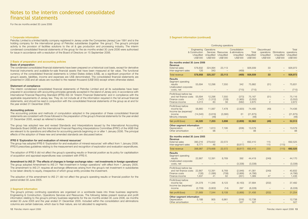For the six months ended 30 June 2006

#### **1 Corporate information**

Petrofac Limited is a limited liability company registered in Jersey under the Companies (Jersey) Law 1991 and is the holding company for the international group of Petrofac subsidiaries (together 'the group'). The group's principal activity is the provision of facilities solutions to the oil & gas production and processing industry. The interim condensed consolidated financial statements of the group for the six months ended 30 June 2006 were authorised for issue in accordance with a resolution of the Board of Directors on 15 September 2006.

#### **2 Basis of preparation and accounting policies**

#### **Basis of preparation**

The condensed consolidated financial statements have been prepared on a historical cost basis, except for derivative financial instruments and available-for-sale financial assets that have been measured at fair value. The functional currency of the consolidated financial statements is United States dollars (US\$), as a significant proportion of the group's assets, liabilities, income and expenses are US\$ denominated. The consolidated financial statements are presented in US\$ and all values are rounded to the nearest thousand (US\$'000) except where otherwise stated.

#### **Statement of compliance**

The interim condensed consolidated financial statements of Petrofac Limited and all its subsidiaries have been prepared in accordance with accounting principles generally accepted in the island of Jersey and, in accordance with International Financial Reporting Standard (IFRS) IAS 34 'Interim Financial Statements' and in compliance with the applicable requirements of Jersey law. They do not include all of the information required in the full annual financial statements, and should be read in conjunction with the consolidated financial statements of the group as at and for the year ended 31 December 2005.

#### **Accounting policies**

The accounting policies and methods of computation adopted in the preparation of these consolidated financial statements are consistent with those followed in the preparation of the group's financial statements for the year ended 31 December 2005, except as referred to below.

The group has adopted new and revised Standards and Interpretations issued by the International Accounting Standards Board (IASB) and the International Financial Reporting Interpretations Committee (IFRIC) of the IASB that are relevant to its operations and effective for accounting periods beginning on or after 1 January 2006. The principal effects of the adoption of these new and amended standards are discussed below:

#### **IFRS 6 'Exploration for and evaluation of mineral resources'**

The group has adopted IFRS 6 'Exploration for and evaluation of mineral resources' with effect from 1 January 2006. IFRS 6 prescribes guidelines relating to the measurement and recognition of exploration and evaluation expenditures.

The adoption of IFRS 6 did not affect the group's operating results or financial position as its policy for capitalisation of acquisition and appraisal expenditures was consistent with IFRS 6.

#### **Amendment to IAS 21 'The effects of changes in foreign exchange rates – net investments in foreign operations'**

The group adopted Amendment to IAS 21 'Net investment in foreign operations' with effect from 1 January 2005. The amendment to IAS 21 requires all exchange differences arising from the group's net investment in subsidiaries to be taken directly to equity, irrespective of which group entity provides the investment.

The adoption of this amendment to IAS 21 did not affect the group's operating results or financial position for the period ended 30 June 2005.

#### **3 Segment information**

The group's primary continuing operations are organised on a worldwide basis into three business segments: Engineering & Construction, Operations Services and Resources. The following tables present revenue and profit information relating to the group's primary business segments for the six months ended 30 June 2006, six months ended 30 June 2005 and the year ended 31 December 2005. Included within the consolidation and eliminations columns are certain balances, which due to their nature, are not allocated to segments.

#### **3 Segment information (continued)**

|                                                                                             |                                                        |                                     | Continuing operations              |                                                                             |                                       |                                                              |                                                  |                                |
|---------------------------------------------------------------------------------------------|--------------------------------------------------------|-------------------------------------|------------------------------------|-----------------------------------------------------------------------------|---------------------------------------|--------------------------------------------------------------|--------------------------------------------------|--------------------------------|
|                                                                                             | Engineering<br>& Construction<br>Unaudited<br>US\$'000 | Operations<br>Unaudited<br>US\$'000 | Unaudited<br>US\$'000              | Consolidation<br>Services Resources & eliminations<br>Unaudited<br>US\$'000 | Total<br>Unaudited<br><b>US\$'000</b> | Discontinued<br>operations<br>Unaudited<br>US\$'000          | Eliminations operations<br>Unaudited<br>US\$'000 | Total<br>Unaudited<br>US\$'000 |
| Six months ended 30 June 2006<br>Revenue                                                    |                                                        |                                     |                                    |                                                                             |                                       |                                                              |                                                  |                                |
| <b>External sales</b><br>Inter-segment sales                                                | 578,832<br>126                                         | 324,994<br>343                      | 23,113<br>$\overline{a}$           | (469)                                                                       | 926,939                               | 33<br>$\overline{\phantom{0}}$                               | $\overline{a}$                                   | 926,972                        |
| <b>Total revenue</b>                                                                        | 578,958                                                | 325,337                             | 23,113                             | (469)                                                                       | 926,939                               | 33                                                           |                                                  | 926,972                        |
| <b>Results</b><br>Segment operating<br>results<br>Unallocated corporate<br>costs, net       | 55,694                                                 | 12,296                              | 7,550                              | 342<br>(715)                                                                | 75,882<br>(715)                       | (51)                                                         |                                                  | 75,831<br>(715)                |
| Profit/(loss) before tax<br>and net finance costs<br>Finance costs<br>Finance income        | 55,694<br>(147)<br>3,313                               | 12,296<br>(1, 312)<br>83            | 7,550<br>(128)<br>56               | (373)<br>(1,965)<br>(582)                                                   | 75,167<br>(3, 552)<br>2,870           | (51)<br>$\overline{\phantom{0}}$<br>$\overline{\phantom{0}}$ | $\overline{\phantom{0}}$                         | 75,116<br>(3, 552)<br>2,872    |
| Profit/(loss) before<br>income tax<br>Income tax (expense)/<br>income<br>Minority interests | 58,860<br>(14, 540)                                    | 11,067<br>(3,816)<br>(48)           | 7,478<br>(3,580)                   | (2,920)<br>61                                                               | 74,485<br>(21, 875)<br>(48)           | (49)                                                         |                                                  | 74,436<br>(21, 875)<br>(48)    |
| Net profit/(loss)                                                                           | 44,320                                                 | 7,203                               | 3,898                              | (2,859)                                                                     | 52,562                                | (49)                                                         |                                                  | 52,513                         |
| Other segment information<br>Depreciation<br>Other amortisation                             | 4,977                                                  | 1,613<br>98                         | 7,195                              | (206)                                                                       | 13,579<br>98                          |                                                              |                                                  | 13,579<br>98                   |
| Six months ended 30 June 2005                                                               |                                                        |                                     |                                    |                                                                             |                                       |                                                              |                                                  |                                |
| Revenue<br><b>External sales</b><br>Inter-segment sales                                     | 390,216<br>8,771                                       | 279,622<br>46                       | 22,572<br>$\overline{\phantom{0}}$ | $\overline{a}$<br>(8, 817)                                                  | 692,410                               | 115<br>115                                                   | $\qquad \qquad -$<br>(115)                       | 692,525                        |
| <b>Total revenue</b>                                                                        | 398,987                                                | 279,668                             | 22,572                             | (8, 817)                                                                    | 692,410                               | 230                                                          | (115)                                            | 692,525                        |
| <b>Results</b><br>Segment operating<br>results<br>Unallocated corporate<br>costs, net       | 22,867                                                 | 12,391                              | 8,769                              | 392<br>(3,338)                                                              | 44,419<br>(3,338)                     | (249)                                                        |                                                  | 44,170<br>(3,338)              |
| Profit/(loss) before tax<br>and net finance costs<br>Finance costs<br>Finance income        | 22,867<br>(126)<br>1,637                               | 12,391<br>(1,086)<br>41             | 8,769<br>(708)<br>62               | (2,946)<br>(2,866)<br>(351)                                                 | 41,081<br>(4,786)<br>1,389            | (249)<br>47                                                  |                                                  | 40,832<br>(4,786)<br>1,436     |
| Profit/(loss) before<br>income tax<br>Income tax (expense)/                                 | 24,378                                                 | 11,346                              | 8,123                              | (6, 163)                                                                    | 37,684                                | (202)                                                        |                                                  | 37,482                         |
| income                                                                                      | (2,709)                                                | (3,802)                             | (14)                               | 297                                                                         | (6, 228)                              |                                                              |                                                  | (6, 228)                       |
| Net profit/(loss)<br>Other segment information                                              | 21,669                                                 | 7,544                               | 8,109                              | (5,866)                                                                     | 31,456                                | (202)                                                        |                                                  | 31,254                         |
| Depreciation<br>Other amortisation                                                          | 5,188                                                  | 905                                 | 6,961                              | (316)<br>527                                                                | 12,738<br>527                         |                                                              |                                                  | 12,738<br>527                  |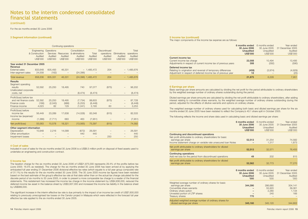(continued)

#### For the six months ended 30 June 2006

#### **3 Segment information (continued)**

|                                                                                       |                                                             |                                                      | Continuing operations            |                                                        |                                     |                                                                 |                                     |                                                   |
|---------------------------------------------------------------------------------------|-------------------------------------------------------------|------------------------------------------------------|----------------------------------|--------------------------------------------------------|-------------------------------------|-----------------------------------------------------------------|-------------------------------------|---------------------------------------------------|
|                                                                                       | Engineering<br>& Construction<br>Audited<br><b>US\$'000</b> | Operations<br>Services<br>Audited<br><b>US\$'000</b> | Resources<br>Audited<br>US\$'000 | Consolidation<br>& eliminations<br>Audited<br>US\$'000 | Total<br>Audited<br><b>US\$'000</b> | <b>Discontinued</b><br>operations<br>Audited<br><b>US\$'000</b> | Eliminations<br>Audited<br>US\$'000 | Total<br>operations<br>Audited<br><b>US\$'000</b> |
| Year ended 31 December 2005<br>Revenue                                                |                                                             |                                                      |                                  |                                                        |                                     |                                                                 |                                     |                                                   |
| <b>External sales</b><br>Inter-segment sales                                          | 833.648<br>24,558                                           | 605.493<br>(162)                                     | 46,331                           | (24, 396)                                              | $-1,485,472$                        | 204                                                             | $\overline{\phantom{0}}$            | 1,485,676                                         |
| <b>Total revenue</b>                                                                  | 858,206                                                     | 605.331                                              | 46,331                           |                                                        | (24,396) 1,485,472                  | 204                                                             |                                     | $-1,485,676$                                      |
| <b>Results</b><br>Segment operating<br>results<br>Unallocated corporate<br>costs, net | 52,592                                                      | 25,250                                               | 18.495                           | 740<br>(8, 474)                                        | 97,077<br>(8, 474)                  | (875)                                                           |                                     | 96,202<br>(8, 474)                                |
| Profit/(loss) before tax<br>and net finance costs<br>Finance costs<br>Finance income  | 52,592<br>(166)<br>4,023                                    | 25,250<br>(2,043)<br>82                              | 18.495<br>(986)<br>129           | (7, 734)<br>(5, 253)<br>(1,041)                        | 88,603<br>(8, 448)<br>3,193         | (875)<br>60                                                     | -<br>$\overline{\phantom{0}}$       | 87,728<br>(8, 448)<br>3,253                       |
| Profit/(loss) before<br>income tax<br>Income tax (expense)/<br>income                 | 56,449<br>(1,386)                                           | 23,289<br>(7, 711)                                   | 17,638<br>683                    | (14,028)<br>463                                        | 83,348<br>(7, 951)                  | (815)                                                           |                                     | 82,533<br>(7, 951)                                |
| Net profit/(loss)                                                                     | 55,063                                                      | 15,578                                               | 18,321                           | (13, 565)                                              | 75,397                              | (815)                                                           | -                                   | 74,582                                            |
| Other segment information<br>Depreciation<br>Other amortisation<br>Impairment losses  | 10,948                                                      | 2,216                                                | 14,099                           | (672)<br>440                                           | 26.591<br>440                       | 250                                                             |                                     | 26,591<br>440<br>250                              |

#### **4 Cost of sales**

Included in cost of sales for the six months ended 30 June 2006 is a US\$6.5 million profit on disposal of fixed assets used to undertake an engineering and construction contract.

#### **5 Income tax**

The taxation charge for the six months ended 30 June 2006 of US\$21,875,000 represents 29.4% of the profits before tax (June 2005: 16.5% as restated). The charge for the six months ended 30 June 2006 has been arrived at by applying the anticipated full year ending 31 December 2006 divisional effective tax rates (which equate to a full year group composite rate of 31.1%) to the results for the six months ended 30 June 2006. The 30 June 2005 income tax figures have been restated based on the best estimate of the group's effective tax rate at that date rather than on the actual tax charge calculated for the discrete period of six months to 30 June 2005, in order to present a more comparable tax charge to a reader of the financial statements. This restatement has increased the income tax charge in the income statement by US\$4,936,000, reduced the deferred income tax asset in the balance sheet by US\$3,937,000 and increased the income tax liability in the balance sheet by US\$999,000.

The significant increase in the interim effective tax rate is due primarily to the impact of an income tax credit of US\$7,600,000 relating to previously unrecognised tax losses on the Cendor project in Malaysia which were reflected in the forecast full year effective tax rate applied to the six months ended 30 June 2005.

#### **5 Income tax (continued)**

The major components of the income tax expense are as follows:

|                                                                                                                                                       | 6 months ended<br>30 June 2006<br>Unaudited<br><b>US\$'000</b> | 6 months ended<br>30 June 2005<br>Unaudited<br>US\$'000 | Year ended<br>31 December 2005<br>Audited<br>US\$'000 |
|-------------------------------------------------------------------------------------------------------------------------------------------------------|----------------------------------------------------------------|---------------------------------------------------------|-------------------------------------------------------|
| Current income tax<br>Current income tax charge<br>Adjustments in respect of current income tax of previous years                                     | 22,008<br>308                                                  | 10.494<br>(292)                                         | 13.495<br>(590)                                       |
| Deferred income tax<br>Relating to origination and reversal of temporary differences<br>Adjustment in respect of deferred income tax of previous year | (459)<br>18                                                    | (3,974)                                                 | (4,929)<br>(25)                                       |
|                                                                                                                                                       | 21,875                                                         | 6.228                                                   | 7.951                                                 |

#### **6 Earnings per share**

Basic earnings per share amounts are calculated by dividing the net profit for the period attributable to ordinary shareholders by the weighted average number of ordinary shares outstanding during the period.

Diluted earnings per share amounts are calculated by dividing the net profit attributable to ordinary shareholders, after adding interest relating to convertible share warrants, by the weighted average number of ordinary shares outstanding during the period, adjusted for the effects of dilutive warrants and options on ordinary shares.

The weighted average number of ordinary shares used for calculating both basic and diluted earnings per share for the six months ended 30 June 2005 have been restated to reflect the Company's 40:1 share split in October 2005.

The following reflects the income and share data used in calculating basic and diluted earnings per share:

|                                                                                                                                                                                                | 6 months ended<br>30 June 2006<br><b>Unaudited</b><br><b>US\$'000</b> | 6 months ended<br>30 June 2005<br>Unaudited<br>US\$'000    | Year ended<br>31 December 2005<br>Audited<br>US\$'000 |
|------------------------------------------------------------------------------------------------------------------------------------------------------------------------------------------------|-----------------------------------------------------------------------|------------------------------------------------------------|-------------------------------------------------------|
| Continuing and discontinued operations<br>Net profit attributable to ordinary shareholders for basic<br>earnings per share<br>Income statement charge on variable rate unsecured loan Notes    | 52,513                                                                | 31.254<br>1.317                                            | 74.582<br>1.873                                       |
| Net profit attributable to ordinary shareholders for diluted<br>earnings per share                                                                                                             | 52,513                                                                | 32,571                                                     | 76,455                                                |
| <b>Continuing operations</b><br>Add net loss for the period from discontinued operations                                                                                                       | 49                                                                    | 202                                                        | 815                                                   |
| Net profit attributable to ordinary shareholders for diluted<br>earnings per share                                                                                                             | 52,562                                                                | 32.773                                                     | 77,270                                                |
|                                                                                                                                                                                                | 6 months ended<br>30 June 2006<br>Unaudited<br>'000'                  | 6 months ended<br>30 June 2005<br><b>Unaudited</b><br>'000 | Year ended<br>31 December 2005<br>Audited<br>'000     |
| Weighted average number of ordinary shares for basic<br>earnings per share<br>Convertible share warrants<br>Ordinary share option<br>Unvested portion of LTIP shares<br><b>Treasury shares</b> | 344,390<br>770                                                        | 286,680<br>55,920<br>2,280<br>240                          | 304,141<br>39,361<br>1,134<br>166                     |
| Adjusted weighted average number of ordinary shares for<br>diluted earnings per share                                                                                                          | 345,160                                                               | 345,120                                                    | 344,802                                               |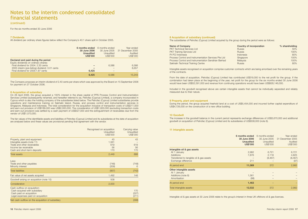(continued)

For the six months ended 30 June 2006

#### **7 Dividends**

All dividend per ordinary share figures below reflect the Company's 40:1 share split in October 2005.

|                                                                                                                                                                                                             | 6 months ended<br>30 June 2006<br>Unaudited<br><b>US\$'000</b> | 6 months ended<br>30 June 2005<br>Unaudited<br>US\$'000 | Year ended<br>31 December 2005<br>Audited<br>US\$'000 |
|-------------------------------------------------------------------------------------------------------------------------------------------------------------------------------------------------------------|----------------------------------------------------------------|---------------------------------------------------------|-------------------------------------------------------|
| Declared and paid during the period<br>Equity dividends on ordinary shares:<br>Final dividend for 2004: 2.30 cents<br>2005 interim (pre-listing) dividend: 3.01 cents<br>Final dividend for 2005:1.87 cents | 6.425                                                          | 6.586                                                   | 6,586<br>8.657                                        |
|                                                                                                                                                                                                             | 6.425                                                          | 6.586                                                   | 15.243                                                |

The Company proposes an interim dividend of 2.40 cents per share which was approved by the Board on 15 September 2006 for payment on 27 October 2006.

#### **8 Acquisition of subsidiary**

On 28 April 2006, the group acquired a 100% interest in the share capital of PPS Process Control and Instrumentation Services Limited (subsequently renamed, and hereafter referred to as, Petrofac (Cyprus) Limited), a company incorporated in Cyprus which is also the holding company of the subsidiaries listed below. The Petrofac (Cyprus) Limited subsidiaries provide operations and maintenance training on Sakhalin Island, Russia, and process control and instrumentation services in Singapore, Malaysia and Indonesia. The total consideration for the acquisition inclusive of transaction costs of US\$211,000 and earn-out provision of US\$189,000 was US\$2,000,000. The consideration of US\$1,600,000 (excluding transaction costs and earn-out provision) was settled by a cash payment of US\$527,000 and the extinguishment of receivables due from the vendor of US\$1,073,000.

The fair values of the identifiable assets and liabilities of Petrofac (Cyprus) Limited and its subsidiaries at the date of acquisition are analysed below and these values are provisional pending final agreement with the vendor.

|                                                                                                                                                      | Recognised on acquisition<br>Unaudited<br>US\$'000 | Carrying value<br><b>Unaudited</b><br>US\$'000 |
|------------------------------------------------------------------------------------------------------------------------------------------------------|----------------------------------------------------|------------------------------------------------|
| Property, plant and equipment<br>Intangible assets (note 11)<br>Trade and other receivables<br>Income tax receivable<br>Cash and short-term deposits | 43<br>1,561<br>619<br>56<br>170                    | 43<br>619<br>56<br>170                         |
| <b>Total assets</b>                                                                                                                                  | 2,449                                              | 888                                            |
| Less:<br>Trade and other payables<br>Minority interest<br><b>Total liabilities</b>                                                                   | (748)<br>(209)<br>(957)                            | (748)<br>6<br>(742)                            |
| Fair value of net assets acquired                                                                                                                    | 1,492                                              | 146                                            |
| Goodwill arising on acquisition (note 10)                                                                                                            | 508                                                |                                                |
| Consideration                                                                                                                                        | 2,000                                              |                                                |
| Cash outflow on acquisition:<br>Cash acquired with subsidiary<br>Cash paid on acquisition<br>Legal expenses paid on acquisition                      |                                                    | 170<br>(527)<br>(211)                          |
| Net cash outflow on the acquisition of subsidiary                                                                                                    |                                                    | (568)                                          |

#### **8 Acquisition of subsidiary (continued)**

The subsidiaries of Petrofac (Cyprus) Limited acquired by the group during the period were as follows:

| Name of Company                                      | Country of incorporation | % shareholding |
|------------------------------------------------------|--------------------------|----------------|
| <b>PKT Technical Services Ltd</b>                    | Russia                   | 50%            |
| <b>PKT Training Services Ltd</b>                     | Russia                   | 100%           |
| Pt PCI Indonesia                                     | Indonesia                | 80%            |
| Process Control and Instrumentation Services Pte Ltd | Singapore                | 100%           |
| Process Control and Instrumentation Sendirian Berhad | Malaysia                 | 100%           |
| Sakhalin Technical Training Centre                   | Russia                   | 80%            |

Intangible assets recognised on acquisition comprise customer contracts which are being amortised over the remaining years of the contracts.

From the date of acquisition, Petrofac (Cyprus) Limited has contributed US\$19,000 to the net profit for the group. If the combination had taken place at the beginning of the year, net profit for the group for the six months ended 30 June 2006 would have been US\$52,591,000 and revenue from continuing operations would have been US\$928,146,000.

Included in the goodwill recognised above are certain intangible assets that cannot be individually separated and reliably measured due to their nature.

#### **9 Property, plant and equipment**

During the period, the group acquired freehold land at a cost of US\$5,454,000 and incurred further capital expenditure of US\$4,726,000 on the construction of a new office building.

#### **10 Goodwill**

The increase in the goodwill balance in the current period represents exchange differences of US\$3,670,000 and additional goodwill on acquisition of Petrofac (Cyprus) Limited and its subsidiaries of US\$508,000 (note 8).

#### **11 Intangible assets**

|                                                                                                                                    | 6 months ended<br>30 June 2006<br><b>Unaudited</b><br><b>US\$'000</b> | 6 months ended<br>30 June 2005<br>Unaudited<br>US\$'000 | Year ended<br>31 December 2005<br>Audited<br>US\$'000 |
|------------------------------------------------------------------------------------------------------------------------------------|-----------------------------------------------------------------------|---------------------------------------------------------|-------------------------------------------------------|
| Intangible oil & gas assets<br>At 1 January<br><b>Additions</b><br>Transferred to tangible oil & gas assets<br>Exchange difference | 2,982<br>7,876<br>211                                                 | 6,721<br>2,118<br>(8, 467)                              | 6,721<br>4,825<br>(8, 467)<br>(97)                    |
| At period end                                                                                                                      | 11,069                                                                | 372                                                     | 2,982                                                 |
| Other intangible assets<br>At 1 January<br>Additions (note 8)<br>Amortisation                                                      | 1,561<br>(98)                                                         |                                                         |                                                       |
| At period end                                                                                                                      | 1,463                                                                 |                                                         |                                                       |
| Total intangible assets                                                                                                            | 12,532                                                                | 372                                                     | 2,982                                                 |

Intangible oil & gas assets at 30 June 2006 relate to the group's interest in three UK offshore oil & gas licences.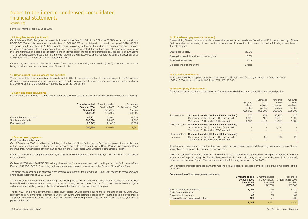(continued)

For the six months ended 30 June 2006

#### **11 Intangible assets (continued)**

On 9 February 2006, the group increased its interest in the Crawford field from 5.58% to 60.88% for a consideration of US\$18,580,000, consisting of cash consideration of US\$2,400,000 and a deferred consideration of up to US\$16,180,000. The group simultaneously sold 31.88% of its interest to the existing partners in the field on the same commercial terms and conditions associated with the purchase of the field. The group has treated the purchase and sale transaction as a single investment transaction based on its substance and this forms part of the additions to intangible oil & gas assets shown above. The net consideration consists of an initial net cash payment of US\$1,000,000 and a net deferred contingent payment of up to US\$6,743,000 for a further 23.42% interest in the field.

Other intangible assets comprise the fair values of customer contracts arising on acquisition (note 8). Customer contracts are being amortised over the remaining years of the contracts.

#### **12 Other current financial assets and liabilities**

The movement in other current financial assets and liabilities in the period is primarily due to changes in the fair value of derivative financial instruments that the group uses to hedge its risk against foreign currency exposure on sales, purchases and borrowings that are entered into in a currency other than US dollars.

#### **13 Cash and cash equivalents**

For the purposes of the interim condensed consolidated cash flow statement, cash and cash equivalents comprise the following:

|                          | 6 months ended   | 6 months ended | Year ended       |
|--------------------------|------------------|----------------|------------------|
|                          | 30 June 2006     | 30 June 2005   | 31 December 2005 |
|                          | <b>Unaudited</b> | Unaudited      | Audited          |
|                          | <b>US\$'000</b>  | US\$'000       | US\$'000         |
| Cash at bank and in hand | 83.252           | 54.612         | 91,339           |
| Short-term deposits      | 296,086          | 86.815         | 117.557          |
| Bank overdraft           | (22, 549)        | (21, 401)      | (6,055)          |
|                          | 356,789          | 120,026        | 202.841          |

#### **14 Share-based payments**

#### **Employee share schemes**

On 13 September 2005, conditional upon listing on the London Stock Exchange, the Company approved the establishment of three new employee share schemes, a Performance Share Plan, a Deferred Bonus Share Plan and an approved Share Incentive Plan, further details of which can be found in the 31 December 2005 Directors' Remuneration Report.

During the period, the Company acquired 1,460,135 of its own shares at a cost of US\$8,127,000 in relation to the above share schemes.

On 24 April 2006, 431,194 US\$0.025 ordinary shares of the Company were awarded to participants in the Performance Share Plan and 547,980 US\$0.025 matching ordinary shares were granted to members of the Deferred Bonus Share Plan.

The group has recognised an expense in the income statement for the period to 30 June 2006 relating to these employee share-based incentives of US\$315,000.

The fair value of the equity-settled awards granted during the six months ended 30 June 2006 in respect of the Deferred Bonus Share Plan were estimated based on the quoted closing market price of 353p per Company share at the date of grant with an assumed vesting rate of 97% per annum over the three year vesting period of the plan.

The fair value of the non-performance related equity-settled awards granted during the six months ended 30 June 2006 representing 50% of the total Performance Share Plan award were estimated based on the quoted closing market price of 353p per Company share at the date of grant with an assumed vesting rate of 97% per annum over the three year vesting period of the plan.

#### **14 Share-based payments (continued)**

The remaining 50% of these awards which are market performance based were fair valued at 234p per share using a Monte Carlo simulation model taking into account the terms and conditions of the plan rules and using the following assumptions at the date of grant:

| Share price volatility                        | 28.0%    |
|-----------------------------------------------|----------|
| Share price correlation with comparator group | $10.0\%$ |
| Risk-free interest rate                       | 4.6%     |
| Expected life of share award                  | 3 years  |

#### **15 Capital commitments**

At 30 June 2006 the group had capital commitments of US\$33,628,000 (for the year ended 31 December 2005: US\$3,410,000; six months ended 30 June 2005: US\$129,000).

#### **16 Related party transactions**

The following table provides the total amount of transactions which have been entered into with related parties:

|                               |                                                                                                                                 | Sales to<br>related<br>parties<br><b>US\$'000</b> | Purchases<br>from<br>related<br>parties<br><b>US\$'000</b> | Amounts<br>owed<br>by related<br>parties<br>US\$'000 | <b>Amounts</b><br>owed<br>to related<br>parties<br><b>US\$'000</b> |
|-------------------------------|---------------------------------------------------------------------------------------------------------------------------------|---------------------------------------------------|------------------------------------------------------------|------------------------------------------------------|--------------------------------------------------------------------|
| Joint ventures                | Six months ended 30 June 2006 (unaudited)<br>Six months ended 30 June 2005 (unaudited)<br>Year ended 31 December 2005 (audited) | 775<br>3.520<br>8.194                             | 174<br>160<br>2.674                                        | 20.177<br>29.731<br>28,402                           | 110<br>1.497<br>1.333                                              |
| Directors' loans              | Six months ended 30 June 2006 (unaudited)<br>Six months ended 30 June 2005 (unaudited)<br>Year ended 31 December 2005 (audited) |                                                   |                                                            | 1.420                                                |                                                                    |
| Other directors'<br>interests | Six months ended 30 June 2006 (unaudited)<br>Six months ended 30 June 2005 (unaudited)<br>Year ended 31 December 2005 (audited) |                                                   | 30<br>30                                                   | 339                                                  | 29<br>$\mathcal{P}$                                                |

All sales to and purchases from joint ventures are made at normal market prices and the pricing policies and terms of these transactions are approved by the group's management.

Directors' loans comprise loans advanced to directors of the Company for the purchase of participatory interests in ordinary shares in the Company through the Petrofac Executive Share Scheme which carry interest at rates between 3.4% and 3.8%, dependent on the year of grant. The loans were repaid in full during the second half of 2005.

Other directors' interests comprise payments made to a related party for services provided to the group by a director of the Company.

#### **Compensation of key management personnel**

|                                      | 6 months ended   | 6 months ended | Year ended       |
|--------------------------------------|------------------|----------------|------------------|
|                                      | 30 June 2006     | 30 June 2005   | 31 December 2005 |
|                                      | <b>Unaudited</b> | Unaudited      | Audited          |
|                                      | <b>US\$'000</b>  | US\$'000       | US\$'000         |
| Short-term employee benefits         | 1,098            | 970            | 4.249            |
| End-of-service benefits              | 20               | 22             | 51               |
| Share-based payments                 | 68               | 55             | 169              |
| Fees paid to non-executive directors | 198              | 74             | 266              |
|                                      | 1.384            | 1.121          | 4.735            |